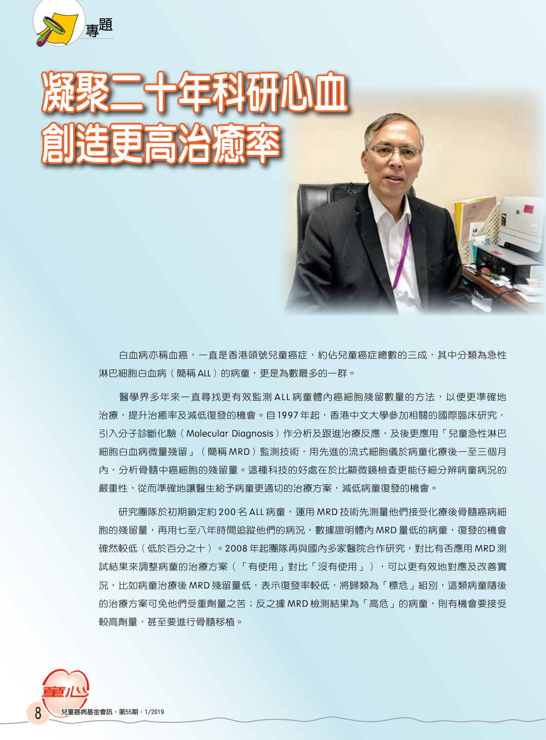

发挥某一十年才科研心血 創造更高治癒率

> 白血病亦稱血癌,一直是香港頭號兒童癌症,約佔兒童癌症總數的三成,其中分類為急性 淋巴細胞白血病(簡稱 ALL)的病童,更是為數最多的一群。

> 醫學界多年來一直尋找更有效監測 ALL 病童體內癌細胞殘留數量的方法,以便更準確地 治療,提升治癒率及減低復發的機會。自 1997 年起,香港中文大學參加相關的國際臨床研究, 引入分子診斷化驗(Molecular Diagnosis)作分析及跟進治療反應,及後更應用「兒童急性淋巴 細胞白血病微量殘留」(簡稱 MRD)監測技術,用先進的流式細胞儀於病童化療後一至三個月 內,分析骨髓中癌細胞的殘留量。這種科技的好處在於比顯微鏡檢查更能仔細分辨病童病況的 嚴重性,從而準確地讓醫生給予病童更適切的治療方案,減低病童復發的機會。

> 研究團隊於初期鎖定約 200 名 ALL 病童,運用 MRD 技術先測量他們接受化療後骨髓癌病細 胞的殘留量,再用七至八年時間追蹤他們的病況,數據證明體內 MRD 量低的病童,復發的機會 確然較低(低於百分之十)。2008 年起團隊再與國內多家醫院合作研究,對比有否應用 MRD 測 試結果來調整病童的治療方案(「有使用」對比「沒有使用」),可以更有效地對應及改善實 況,比如病童治療後 MRD 殘留量低,表示復發率較低,將歸類為「標危」組別,這類病童隨後 的治療方案可免他們受重劑量之苦;反之據 MRD 檢測結果為「高危」的病童,則有機會要接受 較高劑量,甚至要進行骨髓移植。